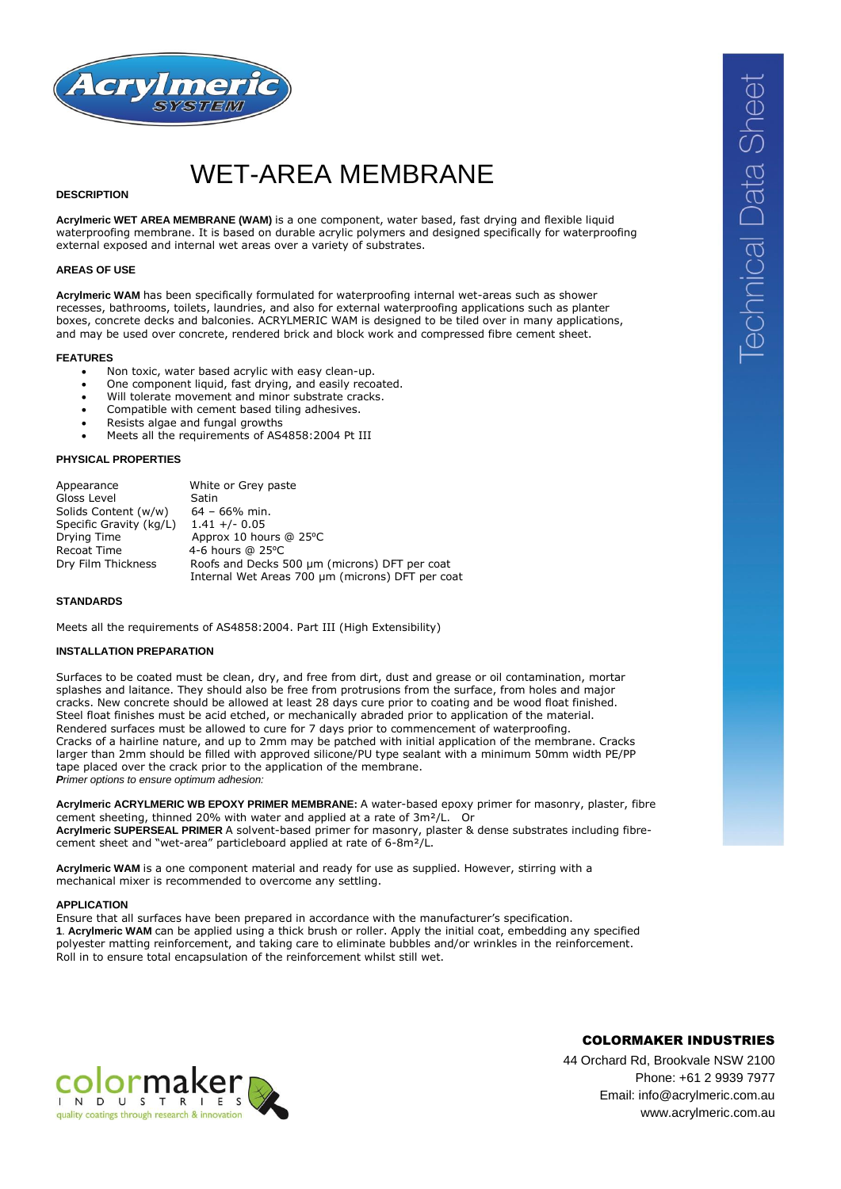

# WET-AREA MEMBRANE

### **DESCRIPTION**

**Acrylmeric WET AREA MEMBRANE (WAM)** is a one component, water based, fast drying and flexible liquid waterproofing membrane. It is based on durable acrylic polymers and designed specifically for waterproofing external exposed and internal wet areas over a variety of substrates.

### **AREAS OF USE**

**Acrylmeric WAM** has been specifically formulated for waterproofing internal wet-areas such as shower recesses, bathrooms, toilets, laundries, and also for external waterproofing applications such as planter boxes, concrete decks and balconies. ACRYLMERIC WAM is designed to be tiled over in many applications, and may be used over concrete, rendered brick and block work and compressed fibre cement sheet.

#### **FEATURES**

- Non toxic, water based acrylic with easy clean-up.
- One component liquid, fast drying, and easily recoated.
- Will tolerate movement and minor substrate cracks.
- Compatible with cement based tiling adhesives.
- Resists algae and fungal growths
- Meets all the requirements of AS4858:2004 Pt III

### **PHYSICAL PROPERTIES**

| Appearance              | White or Grey paste                              |
|-------------------------|--------------------------------------------------|
| Gloss Level             | Satin                                            |
| Solids Content (w/w)    | $64 - 66\%$ min.                                 |
| Specific Gravity (kg/L) | $1.41 +/- 0.05$                                  |
| Drying Time             | Approx 10 hours @ 25°C                           |
| Recoat Time             | 4-6 hours $@$ 25 $°C$                            |
| Dry Film Thickness      | Roofs and Decks 500 um (microns) DFT per coat    |
|                         | Internal Wet Areas 700 µm (microns) DFT per coat |

#### **STANDARDS**

Meets all the requirements of AS4858:2004. Part III (High Extensibility)

#### **INSTALLATION PREPARATION**

Surfaces to be coated must be clean, dry, and free from dirt, dust and grease or oil contamination, mortar splashes and laitance. They should also be free from protrusions from the surface, from holes and major cracks. New concrete should be allowed at least 28 days cure prior to coating and be wood float finished. Steel float finishes must be acid etched, or mechanically abraded prior to application of the material. Rendered surfaces must be allowed to cure for 7 days prior to commencement of waterproofing. Cracks of a hairline nature, and up to 2mm may be patched with initial application of the membrane. Cracks larger than 2mm should be filled with approved silicone/PU type sealant with a minimum 50mm width PE/PP tape placed over the crack prior to the application of the membrane. *Primer options to ensure optimum adhesion:*

**Acrylmeric ACRYLMERIC WB EPOXY PRIMER MEMBRANE:** A water-based epoxy primer for masonry, plaster, fibre cement sheeting, thinned 20% with water and applied at a rate of 3m²/L. Or **Acrylmeric SUPERSEAL PRIMER** A solvent-based primer for masonry, plaster & dense substrates including fibrecement sheet and "wet-area" particleboard applied at rate of 6-8m²/L.

**Acrylmeric WAM** is a one component material and ready for use as supplied. However, stirring with a mechanical mixer is recommended to overcome any settling.

#### **APPLICATION**

Ensure that all surfaces have been prepared in accordance with the manufacturer's specification. **1**. **Acrylmeric WAM** can be applied using a thick brush or roller. Apply the initial coat, embedding any specified polyester matting reinforcement, and taking care to eliminate bubbles and/or wrinkles in the reinforcement. Roll in to ensure total encapsulation of the reinforcement whilst still wet.



**Technical Data Sheet** 

44 Orchard Rd, Brookvale NSW 2100 Phone: +61 2 9939 7977 Email: info@acrylmeric.com.au www.acrylmeric.com.au